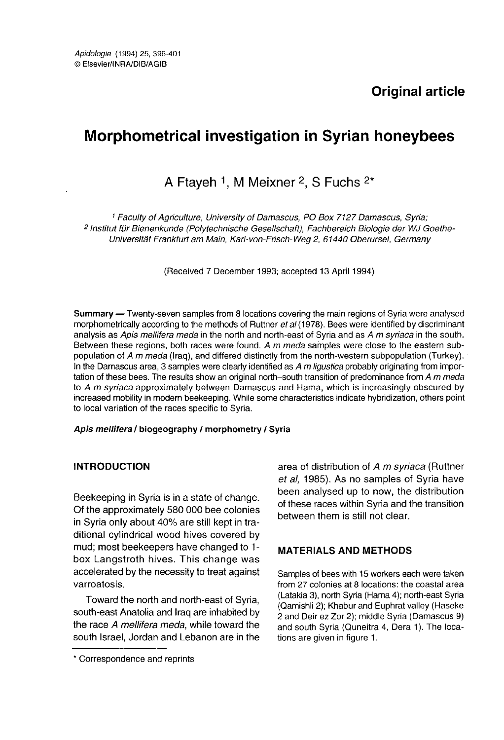# Morphometrical investigation in Syrian honeybees

# A Ftayeh <sup>1</sup>, M Meixner <sup>2</sup>, S Fuchs  $2<sup>*</sup>$

<sup>1</sup> Faculty of Agriculture, University of Damascus, PO Box 7127 Damascus, Syria; <sup>2</sup> Institut für Bienenkunde (Polytechnische Gesellschaft), Fachbereich Biologie der WJ Goethe-Universität Frankfurt am Main, Karl-von-Frisch-Weg 2, 61440 Oberursel, Germany

(Received 7 December 1993; accepted 13 April 1994)

**Summary** — Twenty-seven samples from 8 locations covering the main regions of Syria were analysed morphometrically according to the methods of Ruttner et al (1978). Bees were identified by discriminant analysis as Apis mellifera meda in the north and north-east of Syria and as A m syriaca in the south. Between these regions, both races were found. A m meda samples were close to the eastern sub-<br>population of A m meda (Irag), and differed distinctly from the north-western subpopulation (Turkey). In the Damascus area, 3 samples were clearly identified as  $A$  m ligustica probably originating from importation of these bees. The results show an original north-south transition of predominance from A m meda to A m syriaca approximately between Damascus and Hama, which is increasingly obscured by increased mobility in modern beekeeping. While some characteristics indicate hybridization, others point to local variation of the races specific to Syria.

#### Apis mellifera / biogeography / morphometry / Syria

### INTRODUCTION

Beekeeping in Syria is in a state of change. Of the approximately 580 000 bee colonies in Syria only about 40% are still kept in traditional cylindrical wood hives covered by mud; most beekeepers have changed to 1 box Langstroth hives. This change was accelerated by the necessity to treat against varroatosis.

Toward the north and north-east of Syria, south-east Anatolia and Iraq are inhabited by the race A mellifera meda, while toward the south Israel, Jordan and Lebanon are in the area of distribution of A m svriaca (Ruttner et al, 1985). As no samples of Syria have been analysed up to now, the distribution of these races within Syria and the transition between them is still not clear.

### MATERIALS AND METHODS

Samples of bees with 15 workers each were taken from 27 colonies at 8 locations: the coastal area (Latakia 3), north Syria (Hama 4); north-east Syria (Qamishli 2); Khabur and Euphrat valley (Haseke 2 and Deir ez Zor 2); middle Syria (Damascus 9) and south Syria (Quneitra 4, Dera 1). The locations are given in figure 1.

<sup>\*</sup> Correspondence and reprints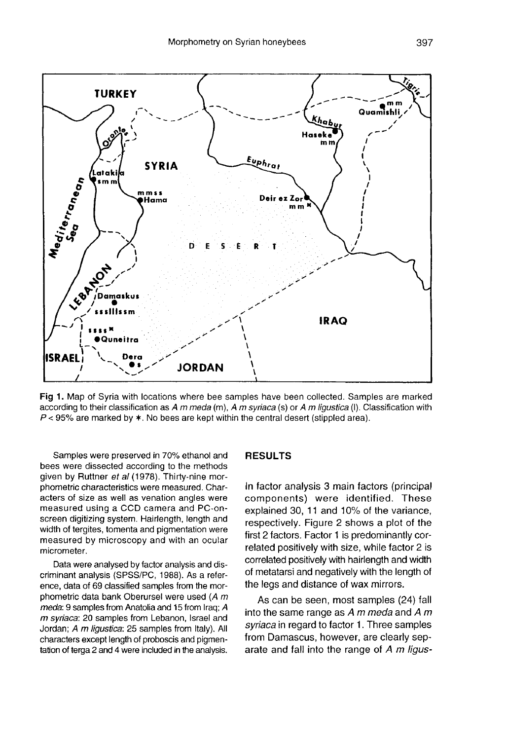

Fig 1. Map of Syria with locations where bee samples have been collected. Samples are marked according to their classification as A  $m$  meda (m). A m syriaca (s) or A m liquatica (I). Classification with  $P < 95\%$  are marked by  $\ast$ . No bees are kept within the central desert (stippled area).

Samples were preserved in 70% ethanol and bees were dissected according to the methods given by Ruttner et al (1978). Thirty-nine morphometric characteristics were measured. Characters of size as well as venation angles were measured using a CCD camera and PC-onscreen digitizing system. Hairlength, length and width of tergites, tomenta and pigmentation were measured by microscopy and with an ocular micrometer.

Data were analysed by factor analysis and discriminant analysis (SPSS/PC, 1988). As a reference, data of 69 classified samples from the morphometric data bank Oberursel were used  $(A \, m \, \text{meda: } 9 \, \text{samples from Anatolia and 15 from } \text{lfan: } A$ m syriaca: 20 samples from Lebanon, Israel and Jordan; A m ligustica: 25 samples from Italy). All characters except length of proboscis and pigmentation of terga 2 and 4 were included in the analysis.

#### RESULTS

In factor analysis 3 main factors (principal components) were identified. These explained 30, 11 and 10% of the variance, respectively. Figure 2 shows a plot of the first 2 factors. Factor 1 is predominantly correlated positively with size, while factor 2 is correlated positively with hairlength and width of metatarsi and negatively with the length of the legs and distance of wax mirrors.

As can be seen, most samples (24) fall into the same range as  $A$  m meda and  $A$  m syriaca in regard to factor 1. Three samples from Damascus, however, are clearly separate and fall into the range of A m ligus-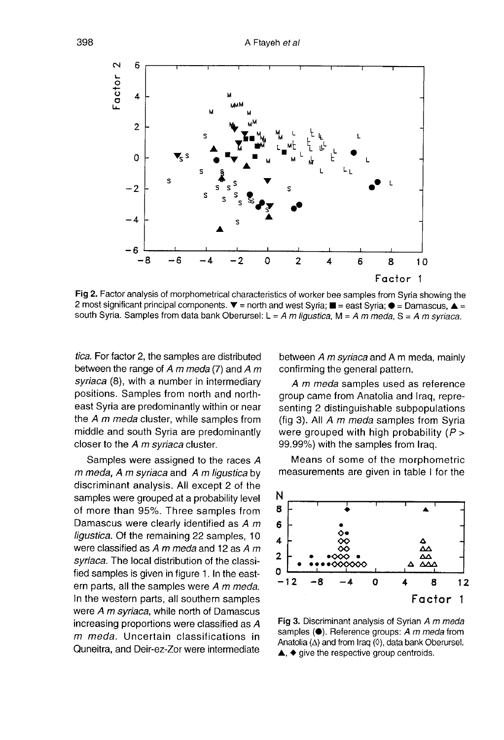

Fig 2. Factor analysis of morphometrical characteristics of worker bee samples from Syria showing the 2 most significant principal components.  $\blacktriangledown$  = north and west Syria;  $\blacksquare$  = east Syria;  $\blacktriangleright$  = Damascus,  $\blacktriangle$  = south Syria. Samples from data bank Oberursel:  $L = A m$  ligustica, M = A m meda, S = A m syriaca.

tica. For factor 2, the samples are distributed between the range of  $A$  m meda (7) and  $A$  m syriaca (8), with a number in intermediary positions. Samples from north and northeast Syria are predominantly within or near the A m meda cluster, while samples from middle and south Syria are predominantly closer to the A m syriaca cluster.

Samples were assigned to the races A m meda, A m syriaca and A m ligustica by discriminant analysis. All except 2 of the samples were grouped at a probability level of more than 95%. Three samples from Damascus were clearly identified as A m ligustica. Of the remaining 22 samples, 10 were classified as  $A$  m meda and 12 as  $A$  m syriaca. The local distribution of the classified samples is given in figure 1. In the eastern parts, all the samples were  $A$  m meda.<br>In the western parts, all southern samples were  $A$  m syriaca, while north of Damascus increasing proportions were classified as A m meda. Uncertain classifications in Quneitra, and Deir-ez-Zor were intermediate

between  $A$  m syriaca and  $A$  m meda, mainly confirming the general pattern.

A m meda samples used as reference group came from Anatolia and Iraq, representing 2 distinguishable subpopulations (fig 3). All A m meda samples from Syria were grouped with high probability  $(P >$ 99.99%) with the samples from Iraq.

Means of some of the morphometric measurements are given in table I for the



Fig 3. Discriminant analysis of Syrian A m meda samples  $(①)$ . Reference groups: A m meda from Anatolia  $(\Delta)$  and from Iraq  $(\Diamond)$ , data bank Oberursel.  $\blacktriangle$ ,  $\blacklozenge$  give the respective group centroids.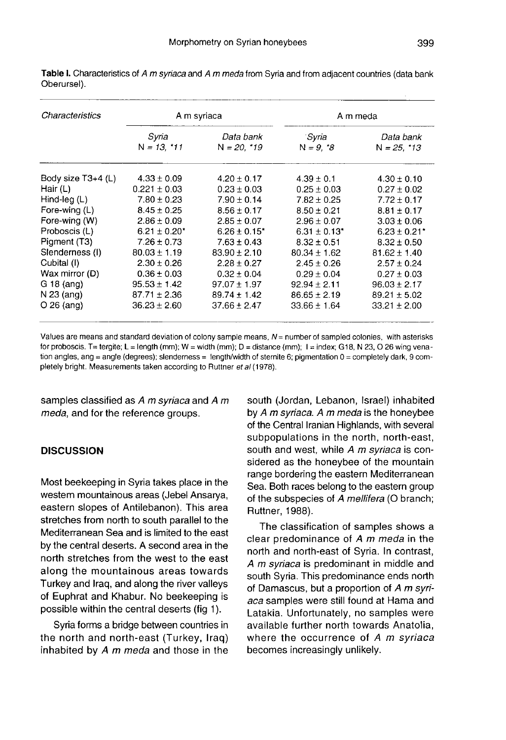| Characteristics    | A m syriaca            |                              | A m meda                     |                              |
|--------------------|------------------------|------------------------------|------------------------------|------------------------------|
|                    | Syria<br>$N = 13, 111$ | Data bank<br>$N = 20, *19$   | Syria<br>$N = 9, *8$         | Data bank<br>$N = 25, *13$   |
| Body size T3+4 (L) | $4.33 \pm 0.09$        | $4.20 \pm 0.17$              | $4.39 \pm 0.1$               | $4.30 \pm 0.10$              |
| Hair $(L)$         | $0.221 \pm 0.03$       | $0.23 \pm 0.03$              | $0.25 \pm 0.03$              | $0.27 \pm 0.02$              |
| Hind-leg $(L)$     | $7.80 \pm 0.23$        | $7.90 \pm 0.14$              | $7.82 \pm 0.25$              | $7.72 \pm 0.17$              |
| Fore-wing (L)      | $8.45 \pm 0.25$        | $8.56 + 0.17$                | $8.50 + 0.21$                | $8.81 + 0.17$                |
| Fore-wing (W)      | $2.86 \pm 0.09$        | $2.85 \pm 0.07$              | $2.96 \pm 0.07$              | $3.03 \pm 0.06$              |
| Proboscis (L)      | $6.21 \pm 0.20^*$      | $6.26 \pm 0.15$ <sup>*</sup> | $6.31 \pm 0.13$ <sup>*</sup> | $6.23 \pm 0.21$ <sup>*</sup> |
| Pigment (T3)       | $7.26 \pm 0.73$        | $7.63 \pm 0.43$              | $8.32 \pm 0.51$              | $8.32 \pm 0.50$              |
| Slenderness (I)    | $80.03 \pm 1.19$       | $83.90 \pm 2.10$             | $80.34 \pm 1.62$             | $81.62 \pm 1.40$             |
| Cubital (I)        | $2.30 \pm 0.26$        | $2.28 \pm 0.27$              | $2.45 \pm 0.26$              | $2.57 \pm 0.24$              |
| Wax mirror (D)     | $0.36 \pm 0.03$        | $0.32 \pm 0.04$              | $0.29 \pm 0.04$              | $0.27 \pm 0.03$              |
| $G$ 18 (ang)       | $95.53 \pm 1.42$       | $97.07 \pm 1.97$             | $92.94 \pm 2.11$             | $96.03 \pm 2.17$             |
| N 23 (ang)         | $87.71 \pm 2.36$       | $89.74 \pm 1.42$             | $86.65 \pm 2.19$             | $89.21 \pm 5.02$             |
| $O$ 26 (ang)       | $36.23 \pm 2.60$       | $37.66 \pm 2.47$             | $33.66 \pm 1.64$             | $33.21 \pm 2.00$             |

Table I. Characteristics of A m syriaca and A m meda from Syria and from adjacent countries (data bank Oberursel).

Values are means and standard deviation of colony sample means, N = number of sampled colonies, with asterisks for proboscis. T= tergite; L = length (mm); W = width (mm); D = distance (mm); I = index; G18, N 23, O 26 wing venation angles, ang = angle (degrees); slenderness = length/width of sternite 6; pigmentation  $0 =$  completely dark, 9 completely bright. Measurements taken according to Ruttner et al (1978).

samples classified as A m syriaca and A m meda, and for the reference groups.

# **DISCUSSION**

Most beekeeping in Syria takes place in the western mountainous areas (Jebel Ansarya, eastern slopes of Antilebanon). This area stretches from north to south parallel to the Mediterranean Sea and is limited to the east by the central deserts. A second area in the north stretches from the west to the east along the mountainous areas towards Turkey and Iraq, and along the river valleys of Euphrat and Khabur. No beekeeping is possible within the central deserts (fig 1).

Syria forms a bridge between countries in the north and north-east (Turkey, Iraq) inhabited by  $A$  m meda and those in the south (Jordan, Lebanon, Israel) inhabited by A m syriaca. A m meda is the honeybee of the Central Iranian Highlands, with several subpopulations in the north, north-east, south and west, while A m syriaca is considered as the honeybee of the mountain range bordering the eastern Mediterranean Sea. Both races belong to the eastern group of the subspecies of A mellifera (O branch; Ruttner, 1988).

The classification of samples shows a clear predominance of A m meda in the north and north-east of Syria. In contrast, A m syriaca is predominant in middle and south Syria. This predominance ends north of Damascus, but a proportion of A m syri aca samples were still found at Hama and Latakia. Unfortunately, no samples were available further north towards Anatolia, where the occurrence of A m syriaca becomes increasingly unlikely.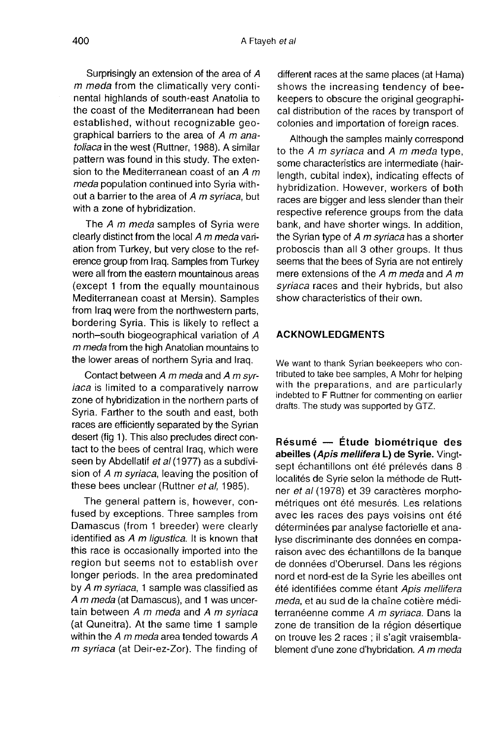Surprisingly an extension of the area of A m meda from the climatically very continental highlands of south-east Anatolia to the coast of the Mediterranean had been established, without recognizable geographical barriers to the area of  $A$  m anatoliaca in the west (Ruttner, 1988). A similar pattern was found in this study. The extension to the Mediterranean coast of an  $A$  m meda population continued into Syria without a barrier to the area of A m svriaca, but with a zone of hybridization.

The A m meda samples of Syria were clearly distinct from the local A m meda variation from Turkey, but very close to the reference group from Iraq. Samples from Turkey were all from the eastern mountainous areas (except 1 from the equally mountainous Mediterranean coast at Mersin). Samples from Iraq were from the northwestern parts, bordering Syria. This is likely to reflect a north-south biogeographical variation of A m meda from the high Anatolian mountains to the lower areas of northern Syria and Iraq.

Contact between  $A$  m meda and  $A$  m syriaca is limited to a comparatively narrow zone of hybridization in the northern parts of Syria. Farther to the south and east, both races are efficiently separated by the Syrian desert (fig 1). This also precludes direct contact to the bees of central Iraq, which were seen by Abdellatif et al (1977) as a subdivision of A m syriaca, leaving the position of these bees unclear (Ruttner et al, 1985).

The general pattern is, however, confused by exceptions. Three samples from Damascus (from 1 breeder) were clearly identified as A m ligustica. It is known that this race is occasionally imported into the region but seems not to establish over longer periods. In the area predominated by A m syriaca, 1 sample was classified as A m meda (at Damascus), and 1 was uncertain between A m meda and A m syriaca (at Quneitra). At the same time 1 sample within the  $A$  m meda area tended towards  $A$ m syriaca (at Deir-ez-Zor). The finding of different races at the same places (at Hama) shows the increasing tendency of beekeepers to obscure the original geographical distribution of the races by transport of colonies and importation of foreign races.

Although the samples mainly correspond to the  $A$  m syriaca and  $A$  m meda type, some characteristics are intermediate (hairlength, cubital index), indicating effects of hybridization. However, workers of both races are bigger and less slender than their respective reference groups from the data bank, and have shorter wings. In addition, the Syrian type of A m syriaca has a shorter proboscis than all 3 other groups. It thus mere extensions of the  $A$  m meda and  $A$  m syriaca races and their hybrids, but also show characteristics of their own.

#### ACKNOWLEDGMENTS

We want to thank Syrian beekeepers who contributed to take bee samples, A Mohr for helping with the preparations, and are particularly indebted to F Ruttner for commenting on earlier drafts. The study was supported by GTZ.

Résumé — Étude biométrique des abeilles (Apis mellifera L) de Syrie. Vingtsept échantillons ont été prélevés dans 8 localités de Syrie selon la méthode de Ruttner et al (1978) et 39 caractères morphométriques ont été mesurés. Les relations avec les races des pays voisins ont été déterminées par analyse factorielle et analyse discriminante des données en comparaison avec des échantillons de la banque de données d'Oberursel. Dans les régions nord et nord-est de la Syrie les abeilles ont été identifiées comme étant Apis mellifera meda, et au sud de la chaîne cotière méditerranéenne comme A m syriaca. Dans la zone de transition de la région désertique on trouve les 2 races ; il s'agit vraisemblablement d'une zone d'hybridation. A m meda